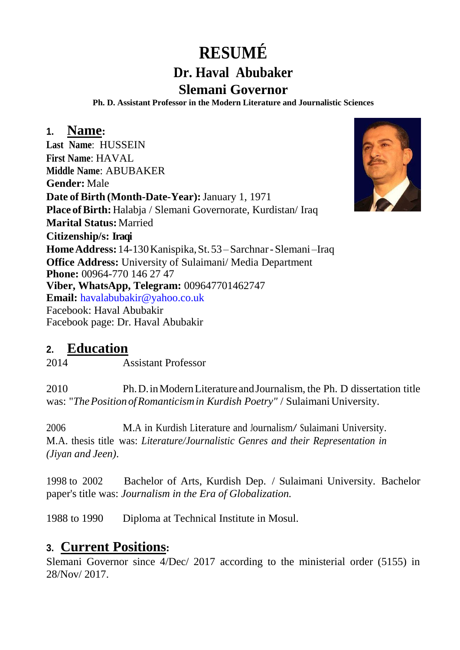# **RESUMÉ**

#### **Dr. Haval Abubaker Slemani Governor**

**Ph. D. Assistant Professor in the Modern Literature and Journalistic Sciences**

#### **1. Name:**

**Last Name**: HUSSEIN **First Name**: HAVAL **Middle Name**: ABUBAKER **Gender:** Male **Date of Birth (Month-Date-Year):**January 1, 1971 Place of Birth: Halabja / Slemani Governorate, Kurdistan/ Iraq **Marital Status:**Married **Citizenship/s: Iraqi HomeAddress:**14-130Kanispika,St.53–Sarchnar-Slemani –Iraq **Office Address:** University of Sulaimani/ Media Department **Phone:** 00964-770 146 27 47 **Viber, WhatsApp, Telegram:** 009647701462747 **Email:** [havalabubakir@yahoo.co.uk](mailto:havalabubakir@yahoo.co.uk) Facebook: Haval Abubakir Facebook page: Dr. Haval Abubakir



#### **2. Education**

2014 Assistant Professor

2010 Ph.D.inModernLiterature andJournalism, the Ph. D dissertation title was: "*The Position of Romanticism in Kurdish Poetry" / Sulaimani University.* 

<sup>2006</sup> M.A in Kurdish Literature and Journalism/ Sulaimani University. M.A. thesis title was: *Literature/Journalistic Genres and their Representation in (Jiyan and Jeen)*.

1998 to 2002 Bachelor of Arts, Kurdish Dep. / Sulaimani University. Bachelor paper's title was: *Journalism in the Era of Globalization.*

1988 to 1990 Diploma at Technical Institute in Mosul.

#### **3. Current Positions:**

Slemani Governor since 4/Dec/ 2017 according to the ministerial order (5155) in 28/Nov/ 2017.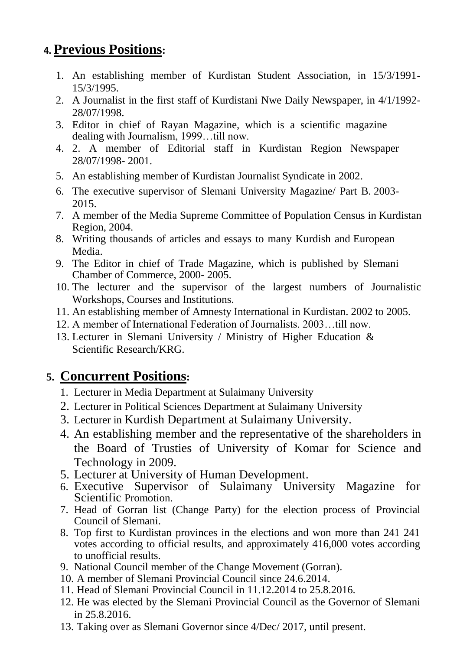## **4. Previous Positions:**

- 1. An establishing member of Kurdistan Student Association, in 15/3/1991- 15/3/1995.
- 2. A Journalist in the first staff of Kurdistani Nwe Daily Newspaper, in 4/1/1992- 28/07/1998.
- 3. Editor in chief of Rayan Magazine, which is a scientific magazine dealing with Journalism, 1999…till now.
- 4. 2. A member of Editorial staff in Kurdistan Region Newspaper 28/07/1998- 2001.
- 5. An establishing member of Kurdistan Journalist Syndicate in 2002.
- 6. The executive supervisor of Slemani University Magazine/ Part B. 2003- 2015.
- 7. A member of the Media Supreme Committee of Population Census in Kurdistan Region, 2004.
- 8. Writing thousands of articles and essays to many Kurdish and European Media.
- 9. The Editor in chief of Trade Magazine, which is published by Slemani Chamber of Commerce, 2000- 2005.
- 10. The lecturer and the supervisor of the largest numbers of Journalistic Workshops, Courses and Institutions.
- 11. An establishing member of Amnesty International in Kurdistan. 2002 to 2005.
- 12. A member of International Federation of Journalists. 2003…till now.
- 13. Lecturer in Slemani University / Ministry of Higher Education & Scientific Research/KRG.

## **5. Concurrent Positions:**

- 1. Lecturer in Media Department at Sulaimany University
- 2. Lecturer in Political Sciences Department at Sulaimany University
- 3. Lecturer in Kurdish Department at Sulaimany University.
- 4. An establishing member and the representative of the shareholders in the Board of Trusties of University of Komar for Science and Technology in 2009.
- 5. Lecturer at [University of Human Development.](https://sites.google.com/a/uhd.edu.iq/mariwan-rasheed/goog_594379717)
- 6. Executive Supervisor of Sulaimany University Magazine for Scientific Promotion.
- 7. Head of Gorran list (Change Party) for the election process of Provincial Council of Slemani.
- 8. Top first to Kurdistan provinces in the elections and won more than 241 241 votes according to official results, and approximately 416,000 votes according to unofficial results.
- 9. National Council member of the Change Movement (Gorran).
- 10. A member of Slemani Provincial Council since 24.6.2014.
- 11. Head of Slemani Provincial Council in 11.12.2014 to 25.8.2016.
- 12. He was elected by the Slemani Provincial Council as the Governor of Slemani in 25.8.2016.
- 13. Taking over as Slemani Governor since 4/Dec/ 2017, until present.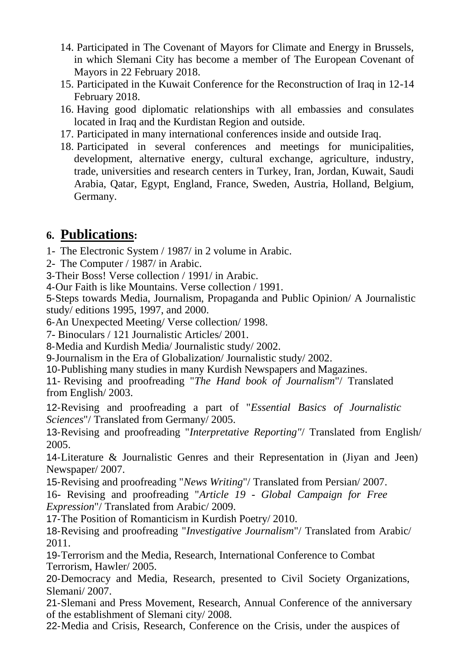- 14. Participated in The Covenant of Mayors for Climate and Energy in Brussels, in which Slemani City has become a member of The European Covenant of Mayors in 22 February 2018.
- 15. Participated in the Kuwait Conference for the Reconstruction of Iraq in 12-14 February 2018.
- 16. Having good diplomatic relationships with all embassies and consulates located in Iraq and the Kurdistan Region and outside.
- 17. Participated in many international conferences inside and outside Iraq.
- 18. Participated in several conferences and meetings for municipalities, development, alternative energy, cultural exchange, agriculture, industry, trade, universities and research centers in Turkey, Iran, Jordan, Kuwait, Saudi Arabia, Qatar, Egypt, England, France, Sweden, Austria, Holland, Belgium, Germany.

#### **6. Publications:**

- 1- The Electronic System / 1987/ in 2 volume in Arabic.
- 2- The Computer / 1987/ in Arabic.
- 3-Their Boss! Verse collection / 1991/ in Arabic.
- 4-Our Faith is like Mountains. Verse collection / 1991.

5-Steps towards Media, Journalism, Propaganda and Public Opinion/ A Journalistic study/ editions 1995, 1997, and 2000.

6-An Unexpected Meeting/ Verse collection/ 1998.

7- Binoculars / 121 Journalistic Articles/ 2001.

8-Media and Kurdish Media/ Journalistic study/ 2002.

9-Journalism in the Era of Globalization/ Journalistic study/ 2002.

10-Publishing many studies in many Kurdish Newspapers and Magazines.

11- Revising and proofreading "*The Hand book of Journalism*"/ Translated from English/ 2003.

12-Revising and proofreading a part of "*Essential Basics of Journalistic Sciences*"/ Translated from Germany/ 2005.

13-Revising and proofreading "*Interpretative Reporting"*/ Translated from English/ 2005.

14-Literature & Journalistic Genres and their Representation in (Jiyan and Jeen) Newspaper/ 2007.

15-Revising and proofreading "*News Writing*"/ Translated from Persian/ 2007.

16- Revising and proofreading "*Article 19 - Global Campaign for Free Expression*"/ Translated from Arabic/ 2009.

17-The Position of Romanticism in Kurdish Poetry/ 2010.

18-Revising and proofreading "*Investigative Journalism*"/ Translated from Arabic/ 2011.

19-Terrorism and the Media, Research, International Conference to Combat Terrorism, Hawler/ 2005.

20-Democracy and Media, Research, presented to Civil Society Organizations, Slemani/ 2007.

21-Slemani and Press Movement, Research, Annual Conference of the anniversary of the establishment of Slemani city/ 2008.

22-Media and Crisis, Research, Conference on the Crisis, under the auspices of